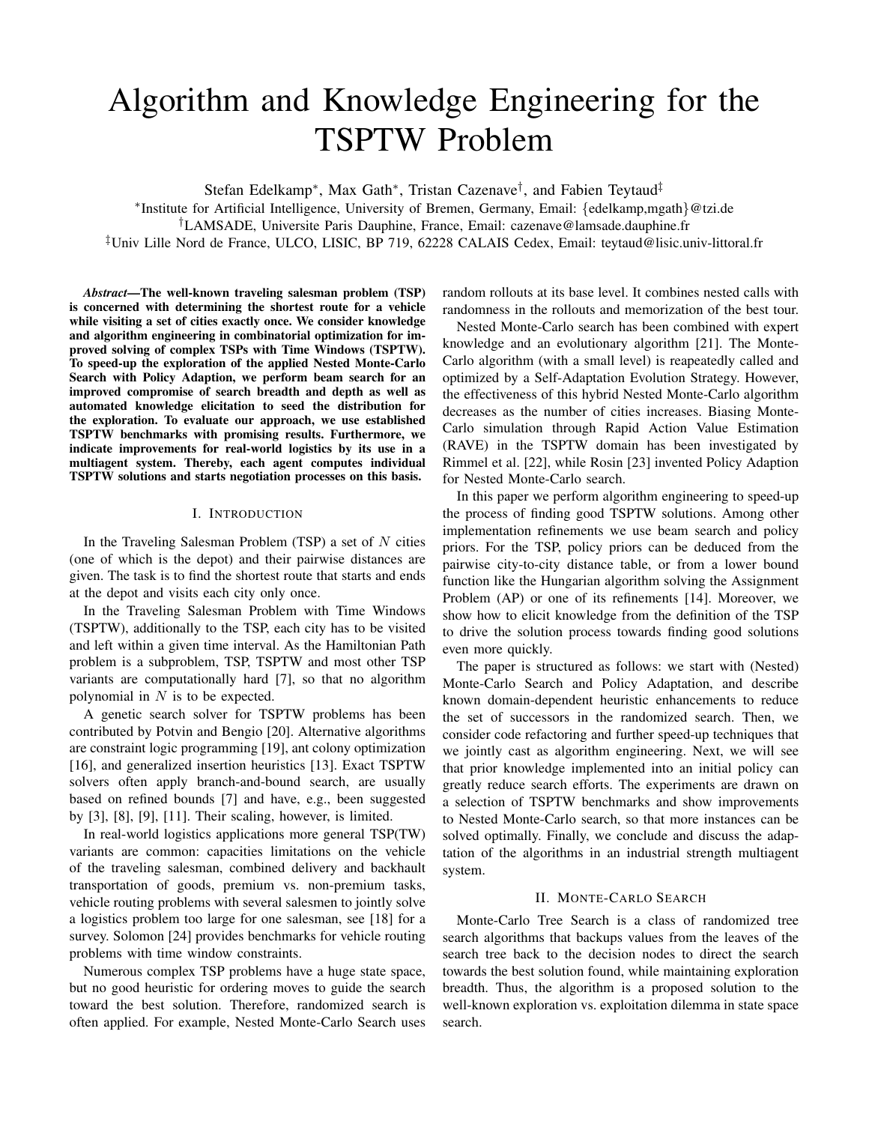# Algorithm and Knowledge Engineering for the TSPTW Problem

Stefan Edelkamp<sup>∗</sup>, Max Gath<sup>∗</sup>, Tristan Cazenave<sup>†</sup>, and Fabien Teytaud<sup>‡</sup>

∗ Institute for Artificial Intelligence, University of Bremen, Germany, Email: {edelkamp,mgath}@tzi.de †LAMSADE, Universite Paris Dauphine, France, Email: cazenave@lamsade.dauphine.fr ‡Univ Lille Nord de France, ULCO, LISIC, BP 719, 62228 CALAIS Cedex, Email: teytaud@lisic.univ-littoral.fr

*Abstract*—The well-known traveling salesman problem (TSP) is concerned with determining the shortest route for a vehicle while visiting a set of cities exactly once. We consider knowledge and algorithm engineering in combinatorial optimization for improved solving of complex TSPs with Time Windows (TSPTW). To speed-up the exploration of the applied Nested Monte-Carlo Search with Policy Adaption, we perform beam search for an improved compromise of search breadth and depth as well as automated knowledge elicitation to seed the distribution for the exploration. To evaluate our approach, we use established TSPTW benchmarks with promising results. Furthermore, we indicate improvements for real-world logistics by its use in a multiagent system. Thereby, each agent computes individual TSPTW solutions and starts negotiation processes on this basis.

# I. INTRODUCTION

In the Traveling Salesman Problem  $(TSP)$  a set of N cities (one of which is the depot) and their pairwise distances are given. The task is to find the shortest route that starts and ends at the depot and visits each city only once.

In the Traveling Salesman Problem with Time Windows (TSPTW), additionally to the TSP, each city has to be visited and left within a given time interval. As the Hamiltonian Path problem is a subproblem, TSP, TSPTW and most other TSP variants are computationally hard [7], so that no algorithm polynomial in  $N$  is to be expected.

A genetic search solver for TSPTW problems has been contributed by Potvin and Bengio [20]. Alternative algorithms are constraint logic programming [19], ant colony optimization [16], and generalized insertion heuristics [13]. Exact TSPTW solvers often apply branch-and-bound search, are usually based on refined bounds [7] and have, e.g., been suggested by [3], [8], [9], [11]. Their scaling, however, is limited.

In real-world logistics applications more general TSP(TW) variants are common: capacities limitations on the vehicle of the traveling salesman, combined delivery and backhault transportation of goods, premium vs. non-premium tasks, vehicle routing problems with several salesmen to jointly solve a logistics problem too large for one salesman, see [18] for a survey. Solomon [24] provides benchmarks for vehicle routing problems with time window constraints.

Numerous complex TSP problems have a huge state space, but no good heuristic for ordering moves to guide the search toward the best solution. Therefore, randomized search is often applied. For example, Nested Monte-Carlo Search uses random rollouts at its base level. It combines nested calls with randomness in the rollouts and memorization of the best tour.

Nested Monte-Carlo search has been combined with expert knowledge and an evolutionary algorithm [21]. The Monte-Carlo algorithm (with a small level) is reapeatedly called and optimized by a Self-Adaptation Evolution Strategy. However, the effectiveness of this hybrid Nested Monte-Carlo algorithm decreases as the number of cities increases. Biasing Monte-Carlo simulation through Rapid Action Value Estimation (RAVE) in the TSPTW domain has been investigated by Rimmel et al. [22], while Rosin [23] invented Policy Adaption for Nested Monte-Carlo search.

In this paper we perform algorithm engineering to speed-up the process of finding good TSPTW solutions. Among other implementation refinements we use beam search and policy priors. For the TSP, policy priors can be deduced from the pairwise city-to-city distance table, or from a lower bound function like the Hungarian algorithm solving the Assignment Problem (AP) or one of its refinements [14]. Moreover, we show how to elicit knowledge from the definition of the TSP to drive the solution process towards finding good solutions even more quickly.

The paper is structured as follows: we start with (Nested) Monte-Carlo Search and Policy Adaptation, and describe known domain-dependent heuristic enhancements to reduce the set of successors in the randomized search. Then, we consider code refactoring and further speed-up techniques that we jointly cast as algorithm engineering. Next, we will see that prior knowledge implemented into an initial policy can greatly reduce search efforts. The experiments are drawn on a selection of TSPTW benchmarks and show improvements to Nested Monte-Carlo search, so that more instances can be solved optimally. Finally, we conclude and discuss the adaptation of the algorithms in an industrial strength multiagent system.

## II. MONTE-CARLO SEARCH

Monte-Carlo Tree Search is a class of randomized tree search algorithms that backups values from the leaves of the search tree back to the decision nodes to direct the search towards the best solution found, while maintaining exploration breadth. Thus, the algorithm is a proposed solution to the well-known exploration vs. exploitation dilemma in state space search.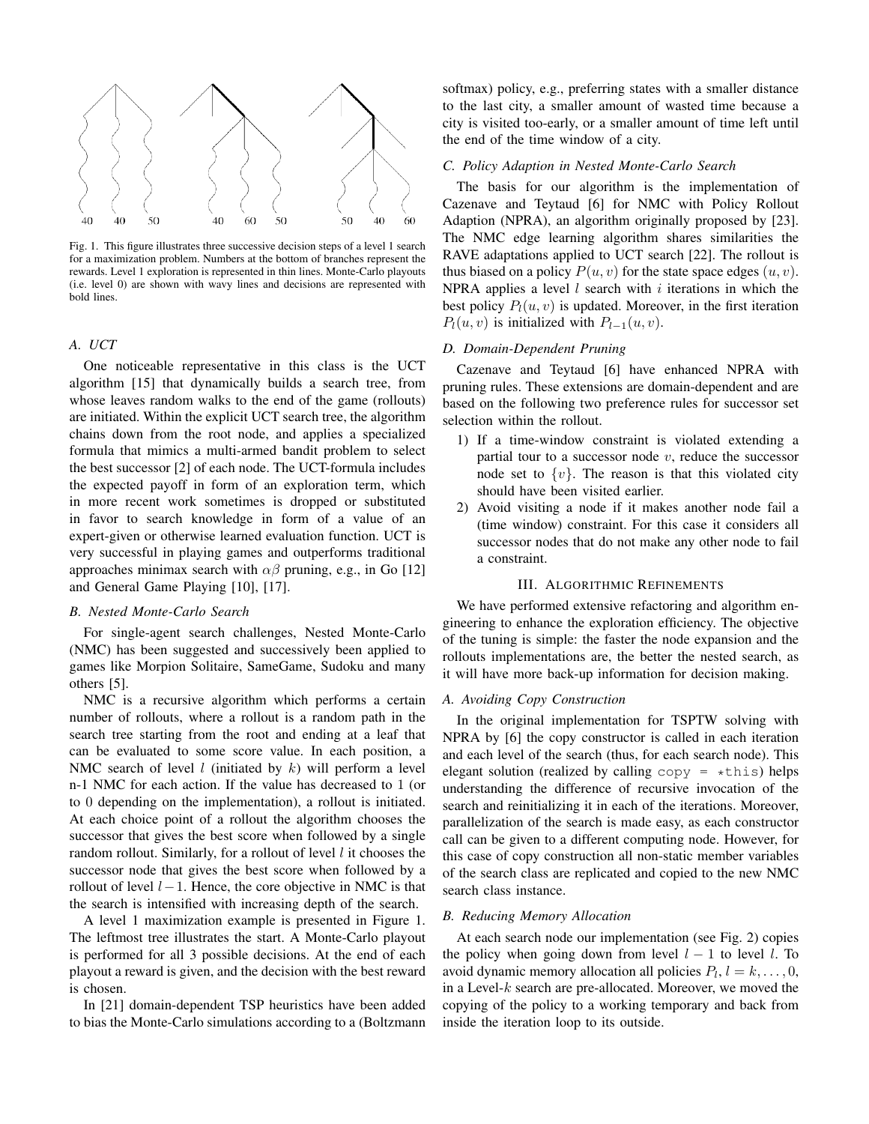

Fig. 1. This figure illustrates three successive decision steps of a level 1 search for a maximization problem. Numbers at the bottom of branches represent the rewards. Level 1 exploration is represented in thin lines. Monte-Carlo playouts (i.e. level 0) are shown with wavy lines and decisions are represented with bold lines.

# *A. UCT*

One noticeable representative in this class is the UCT algorithm [15] that dynamically builds a search tree, from whose leaves random walks to the end of the game (rollouts) are initiated. Within the explicit UCT search tree, the algorithm chains down from the root node, and applies a specialized formula that mimics a multi-armed bandit problem to select the best successor [2] of each node. The UCT-formula includes the expected payoff in form of an exploration term, which in more recent work sometimes is dropped or substituted in favor to search knowledge in form of a value of an expert-given or otherwise learned evaluation function. UCT is very successful in playing games and outperforms traditional approaches minimax search with  $\alpha\beta$  pruning, e.g., in Go [12] and General Game Playing [10], [17].

# *B. Nested Monte-Carlo Search*

For single-agent search challenges, Nested Monte-Carlo (NMC) has been suggested and successively been applied to games like Morpion Solitaire, SameGame, Sudoku and many others [5].

NMC is a recursive algorithm which performs a certain number of rollouts, where a rollout is a random path in the search tree starting from the root and ending at a leaf that can be evaluated to some score value. In each position, a NMC search of level  $l$  (initiated by  $k$ ) will perform a level n-1 NMC for each action. If the value has decreased to 1 (or to 0 depending on the implementation), a rollout is initiated. At each choice point of a rollout the algorithm chooses the successor that gives the best score when followed by a single random rollout. Similarly, for a rollout of level  $l$  it chooses the successor node that gives the best score when followed by a rollout of level  $l-1$ . Hence, the core objective in NMC is that the search is intensified with increasing depth of the search.

A level 1 maximization example is presented in Figure 1. The leftmost tree illustrates the start. A Monte-Carlo playout is performed for all 3 possible decisions. At the end of each playout a reward is given, and the decision with the best reward is chosen.

In [21] domain-dependent TSP heuristics have been added to bias the Monte-Carlo simulations according to a (Boltzmann softmax) policy, e.g., preferring states with a smaller distance to the last city, a smaller amount of wasted time because a city is visited too-early, or a smaller amount of time left until the end of the time window of a city.

# *C. Policy Adaption in Nested Monte-Carlo Search*

The basis for our algorithm is the implementation of Cazenave and Teytaud [6] for NMC with Policy Rollout Adaption (NPRA), an algorithm originally proposed by [23]. The NMC edge learning algorithm shares similarities the RAVE adaptations applied to UCT search [22]. The rollout is thus biased on a policy  $P(u, v)$  for the state space edges  $(u, v)$ . NPRA applies a level  $l$  search with  $i$  iterations in which the best policy  $P_l(u, v)$  is updated. Moreover, in the first iteration  $P_l(u, v)$  is initialized with  $P_{l-1}(u, v)$ .

# *D. Domain-Dependent Pruning*

Cazenave and Teytaud [6] have enhanced NPRA with pruning rules. These extensions are domain-dependent and are based on the following two preference rules for successor set selection within the rollout.

- 1) If a time-window constraint is violated extending a partial tour to a successor node  $v$ , reduce the successor node set to  $\{v\}$ . The reason is that this violated city should have been visited earlier.
- 2) Avoid visiting a node if it makes another node fail a (time window) constraint. For this case it considers all successor nodes that do not make any other node to fail a constraint.

## III. ALGORITHMIC REFINEMENTS

We have performed extensive refactoring and algorithm engineering to enhance the exploration efficiency. The objective of the tuning is simple: the faster the node expansion and the rollouts implementations are, the better the nested search, as it will have more back-up information for decision making.

#### *A. Avoiding Copy Construction*

In the original implementation for TSPTW solving with NPRA by [6] the copy constructor is called in each iteration and each level of the search (thus, for each search node). This elegant solution (realized by calling  $copy = *this$ ) helps understanding the difference of recursive invocation of the search and reinitializing it in each of the iterations. Moreover, parallelization of the search is made easy, as each constructor call can be given to a different computing node. However, for this case of copy construction all non-static member variables of the search class are replicated and copied to the new NMC search class instance.

## *B. Reducing Memory Allocation*

At each search node our implementation (see Fig. 2) copies the policy when going down from level  $l - 1$  to level l. To avoid dynamic memory allocation all policies  $P_l$ ,  $l = k, \ldots, 0$ , in a Level- $k$  search are pre-allocated. Moreover, we moved the copying of the policy to a working temporary and back from inside the iteration loop to its outside.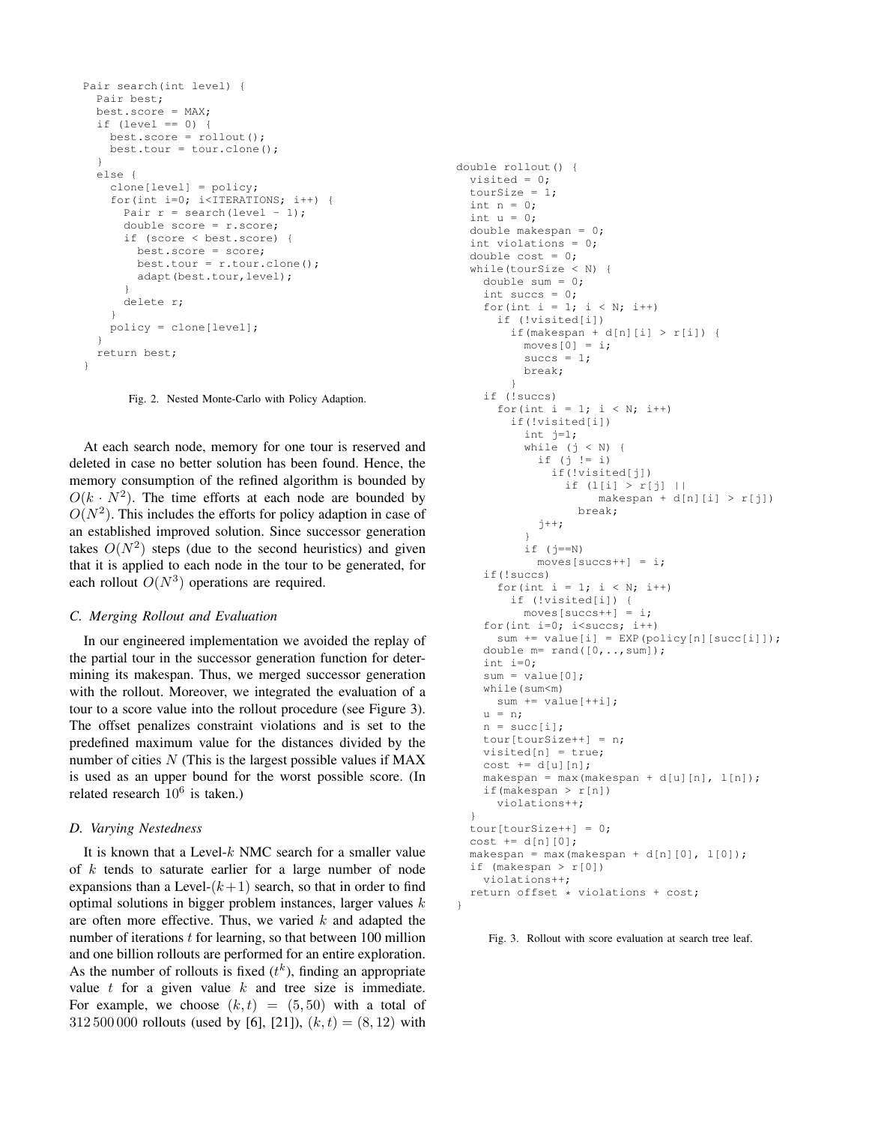```
Pair search(int level) {
 Pair best;
 best.score = MAX;
  if (level == 0) {
   best.score = rollout();
   best.tour = tour.clone();
  }
  else {
    clone[level] = policy;
    for(int i=0; i<ITERATIONS; i++) {
     Pair r = search(level - 1);
      double score = r.score;
      if (score < best.score) {
        best.score = score;
        best.tour = r.tour.clonel):
        adapt(best.tour,level);
      }
     delete r;
    }
   policy = clone[level];
  }
  return best;
}
```
Fig. 2. Nested Monte-Carlo with Policy Adaption.

At each search node, memory for one tour is reserved and deleted in case no better solution has been found. Hence, the memory consumption of the refined algorithm is bounded by  $O(k \cdot N^2)$ . The time efforts at each node are bounded by  $O(N^2)$ . This includes the efforts for policy adaption in case of an established improved solution. Since successor generation takes  $O(N^2)$  steps (due to the second heuristics) and given that it is applied to each node in the tour to be generated, for each rollout  $O(N^3)$  operations are required.

## *C. Merging Rollout and Evaluation*

In our engineered implementation we avoided the replay of the partial tour in the successor generation function for determining its makespan. Thus, we merged successor generation with the rollout. Moreover, we integrated the evaluation of a tour to a score value into the rollout procedure (see Figure 3). The offset penalizes constraint violations and is set to the predefined maximum value for the distances divided by the number of cities  $N$  (This is the largest possible values if MAX is used as an upper bound for the worst possible score. (In related research  $10^6$  is taken.)

# *D. Varying Nestedness*

It is known that a Level- $k$  NMC search for a smaller value of  $k$  tends to saturate earlier for a large number of node expansions than a Level- $(k+1)$  search, so that in order to find optimal solutions in bigger problem instances, larger values  $k$ are often more effective. Thus, we varied  $k$  and adapted the number of iterations  $t$  for learning, so that between 100 million and one billion rollouts are performed for an entire exploration. As the number of rollouts is fixed  $(t<sup>k</sup>)$ , finding an appropriate value  $t$  for a given value  $k$  and tree size is immediate. For example, we choose  $(k, t) = (5, 50)$  with a total of 312 500 000 rollouts (used by [6], [21]),  $(k, t) = (8, 12)$  with

```
double rollout() {
  visited = 0;
 tourSize = 1;
 int n = 0;int u = 0;
 double makespan = 0;
 int violations = 0;
  double cost = 0;
  while(tourSize < N) {
   double sum = 0;
    int succs = 0;for(int i = 1; i < N; i++)
      if (!visited[i])
        if(makespan + d[n][i] > r[i]) {
          moves [0] = i;succs = 1;break;
        }
    if (!succs)
      for(int i = 1; i < N; i++)
        if(!visited[i])
          int j=1;
          while (j \lt N) {
            if (j \mid = i)if(!visited[j])
                if (l[i] > r[j] ||makespan + d[n][i] > r[j])break;
            j++;
          }
          if (j == N)moves[success++] = i;if(!succs)
      for(int i = 1; i < N; i++)
        if (!visited[i]) {
         moves[succs++] = i;for(int i=0; i<succs; i++)
      sum += value[i] = EXP(policy[n][succ[i]]);
    double m= rand([0, \ldots,sum]);
    int i=0;
    sum = value[0]:
    while(sum<m)
     sum += value[++i];
    u = n:
    n = succ[i];tour[tourSize++] = n;visited[n] = true;
    cost += d[u][n];makespan = max(makespan + d[u][n], l[n]);
    if(makespan > r[n])
      violations++;
  }
  tour[tourSize++] = 0;cost += d[n][0];makespan = max(makespan + d[n][0], 1[0];
  if (makespan > r[0])
    violations++;
  return offset * violations + cost;
}
```
Fig. 3. Rollout with score evaluation at search tree leaf.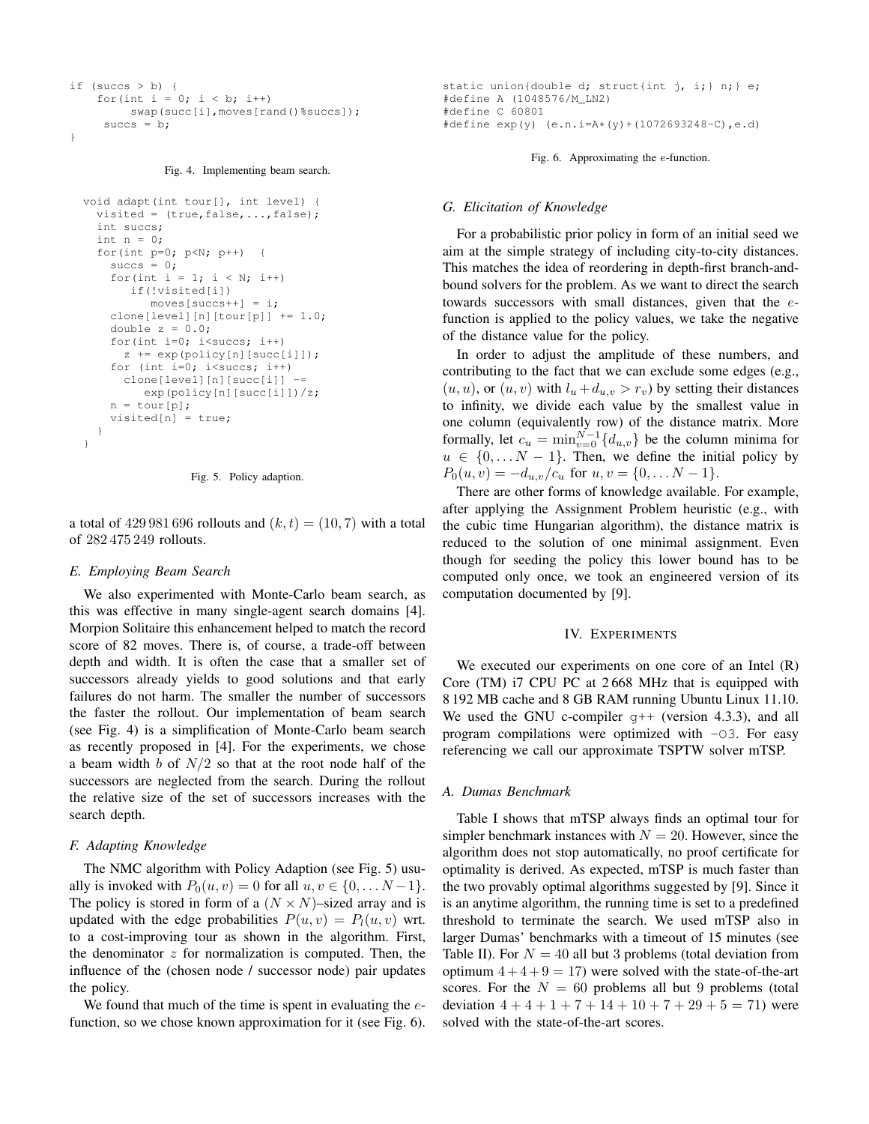```
if (succs > b) {
    for(int i = 0; i < b; i++)
        swap(succ[i],moves[rand()%succs]);
     succs = b;
}
```
Fig. 4. Implementing beam search.

```
void adapt(int tour[], int level) {
  visited = (true, false, ..., false);
  int succs;
  int n = 0:
  for(int p=0; p<N; p++) {
    succs = 0;for(int i = 1; i < N; i++)
       if(!visited[i])
          moves[succs++] = i;
    clone[level][n][tour[p]] += 1.0;
    double z = 0.0;
    for(int i=0; i<succs; i++)
      z += exp(policy[n][succ[i]]);for (int i=0; i<succs; i++)
      clone[level][n][succ[i]] -=
         exp(policy[n][succ[i]])/z;
    n = tour[p];visited[n] = true;
  }
}
```


a total of 429 981 696 rollouts and  $(k, t) = (10, 7)$  with a total of 282 475 249 rollouts.

#### *E. Employing Beam Search*

We also experimented with Monte-Carlo beam search, as this was effective in many single-agent search domains [4]. Morpion Solitaire this enhancement helped to match the record score of 82 moves. There is, of course, a trade-off between depth and width. It is often the case that a smaller set of successors already yields to good solutions and that early failures do not harm. The smaller the number of successors the faster the rollout. Our implementation of beam search (see Fig. 4) is a simplification of Monte-Carlo beam search as recently proposed in [4]. For the experiments, we chose a beam width  $b$  of  $N/2$  so that at the root node half of the successors are neglected from the search. During the rollout the relative size of the set of successors increases with the search depth.

## *F. Adapting Knowledge*

The NMC algorithm with Policy Adaption (see Fig. 5) usually is invoked with  $P_0(u, v) = 0$  for all  $u, v \in \{0, \ldots N-1\}$ . The policy is stored in form of a  $(N \times N)$ –sized array and is updated with the edge probabilities  $P(u, v) = P<sub>l</sub>(u, v)$  wrt. to a cost-improving tour as shown in the algorithm. First, the denominator  $z$  for normalization is computed. Then, the influence of the (chosen node / successor node) pair updates the policy.

We found that much of the time is spent in evaluating the  $e$ function, so we chose known approximation for it (see Fig. 6).

```
static union{double d; struct{int j, i;} n;} e;
#define A (1048576/M_LN2)
#define C 60801
#define exp(y) (e.n.i=A*(y)+(1072693248-C),e.d)
```
Fig. 6. Approximating the e-function.

#### *G. Elicitation of Knowledge*

For a probabilistic prior policy in form of an initial seed we aim at the simple strategy of including city-to-city distances. This matches the idea of reordering in depth-first branch-andbound solvers for the problem. As we want to direct the search towards successors with small distances, given that the efunction is applied to the policy values, we take the negative of the distance value for the policy.

In order to adjust the amplitude of these numbers, and contributing to the fact that we can exclude some edges (e.g.,  $(u, u)$ , or  $(u, v)$  with  $l_u + d_{u,v} > r_v$ ) by setting their distances to infinity, we divide each value by the smallest value in one column (equivalently row) of the distance matrix. More formally, let  $c_u = \min_{v=0}^{N-1} \{d_{u,v}\}\$  be the column minima for  $u \in \{0, \ldots N - 1\}$ . Then, we define the initial policy by  $P_0(u, v) = -d_{u, v}/c_u$  for  $u, v = \{0, \dots N - 1\}.$ 

There are other forms of knowledge available. For example, after applying the Assignment Problem heuristic (e.g., with the cubic time Hungarian algorithm), the distance matrix is reduced to the solution of one minimal assignment. Even though for seeding the policy this lower bound has to be computed only once, we took an engineered version of its computation documented by [9].

## IV. EXPERIMENTS

We executed our experiments on one core of an Intel (R) Core (TM) i7 CPU PC at 2 668 MHz that is equipped with 8 192 MB cache and 8 GB RAM running Ubuntu Linux 11.10. We used the GNU c-compiler  $g++$  (version 4.3.3), and all program compilations were optimized with -O3. For easy referencing we call our approximate TSPTW solver mTSP.

## *A. Dumas Benchmark*

Table I shows that mTSP always finds an optimal tour for simpler benchmark instances with  $N = 20$ . However, since the algorithm does not stop automatically, no proof certificate for optimality is derived. As expected, mTSP is much faster than the two provably optimal algorithms suggested by [9]. Since it is an anytime algorithm, the running time is set to a predefined threshold to terminate the search. We used mTSP also in larger Dumas' benchmarks with a timeout of 15 minutes (see Table II). For  $N = 40$  all but 3 problems (total deviation from optimum  $4 + 4 + 9 = 17$ ) were solved with the state-of-the-art scores. For the  $N = 60$  problems all but 9 problems (total deviation  $4 + 4 + 1 + 7 + 14 + 10 + 7 + 29 + 5 = 71$  were solved with the state-of-the-art scores.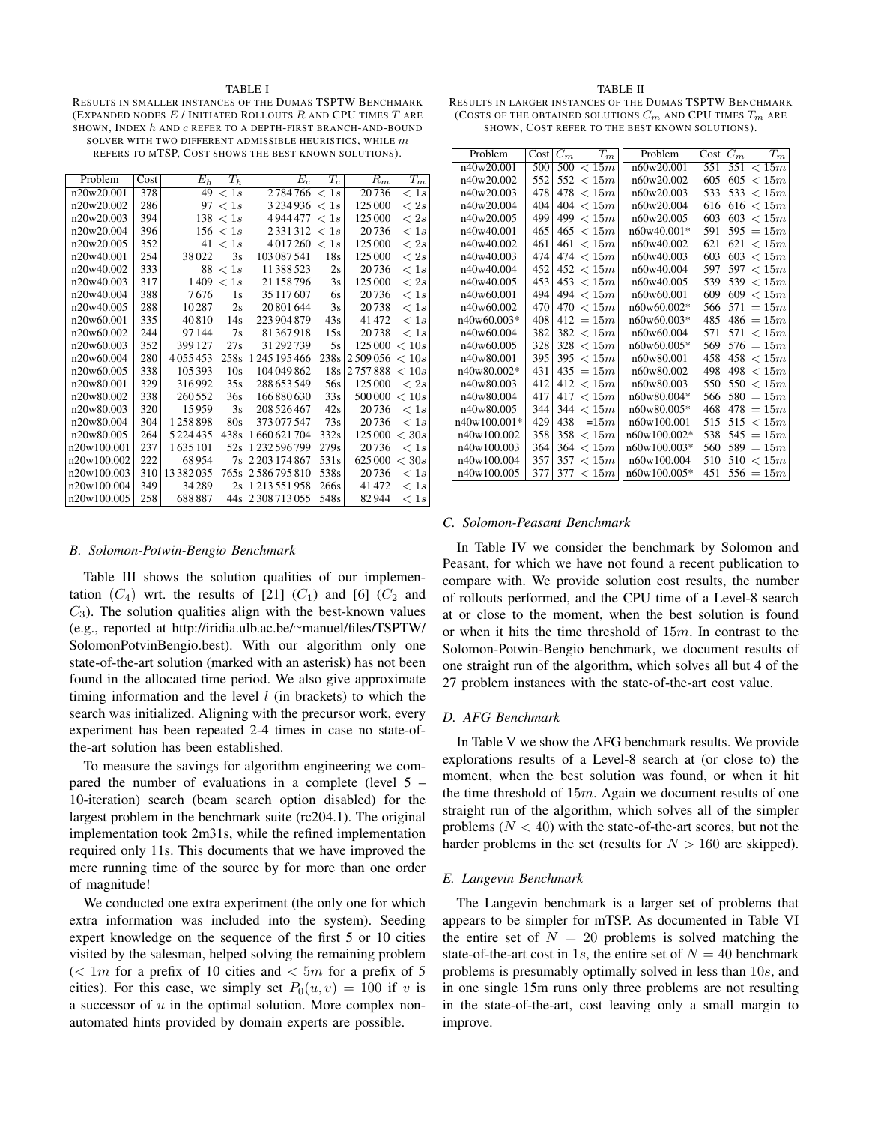#### **TABLE I**

RESULTS IN SMALLER INSTANCES OF THE DUMAS TSPTW BENCHMARK (EXPANDED NODES  $E$  / INITIATED ROLLOUTS  $R$  and CPU TIMES  $T$  are SHOWN, INDEX h AND c REFER TO A DEPTH-FIRST BRANCH-AND-BOUND SOLVER WITH TWO DIFFERENT ADMISSIBLE HEURISTICS, WHILE  $\boldsymbol{m}$ REFERS TO MTSP, COST SHOWS THE BEST KNOWN SOLUTIONS).

| Problem     | Cost | $\overline{E}_h$ | $T_h$       | $\overline{E}_c$      | $T_c$        | $\overline{R}_m$ | $\overline{T}_m$ |
|-------------|------|------------------|-------------|-----------------------|--------------|------------------|------------------|
| n20w20.001  | 378  |                  | 49 < 1s     | 2784766 < 1s          |              | 20736            | < 1s             |
| n20w20.002  | 286  |                  | 97 < 1s     | $3\,234\,936 \leq 1s$ |              | 125 000          | $\langle 2s$     |
| n20w20.003  | 394  |                  | 138 < 1s    | 4944477 < 1s          |              | 125 000          | < 2s             |
| n20w20.004  | 396  |                  | 156 < 1s    | 2331312 < 1s          |              | 20736            | < 1s             |
| n20w20.005  | 352  | 41               | < 1s        | 4 0 1 7 2 6 0         | $\langle 1s$ | 125 000          | $\langle 2s$     |
| n20w40.001  | 254  | 38022            | 3s          | 103 087 541           | 18s          | 125 000          | < 2s             |
| n20w40.002  | 333  | 88               | < 1s        | 11 388 523            | 2s           | 20736            | < 1s             |
| n20w40.003  | 317  | 1409             | 1s<br>$\lt$ | 21 158 796            | 3s           | 125 000          | < 2s             |
| n20w40.004  | 388  | 7676             | 1s          | 35 117 607            | 6s           | 20736            | < 1s             |
| n20w40.005  | 288  | 10287            | 2s          | 20 801 644            | 3s           | 20738            | < 1s             |
| n20w60.001  | 335  | 40810            | 14s         | 223 904 879           | 43s          | 41472            | < 1s             |
| n20w60.002  | 244  | 97144            | 7s          | 81367918              | 15s          | 20738            | < 1s             |
| n20w60.003  | 352  | 399 127          | 27s         | 31 292 739            | 5s           | 125 000          | < 10s            |
| n20w60.004  | 280  | 4055453          | 258s        | 1 245 195 466         | 238s         | 2509056          | < 10s            |
| n20w60.005  | 338  | 105 393          | 10s         | 104 049 862           | 18s          | 2757888          | < 10s            |
| n20w80.001  | 329  | 316992           | 35s         | 288 653 549           | 56s          | 125 000          | < 2s             |
| n20w80.002  | 338  | 260552           | 36s         | 166 880 630           | 33s          | 500 000          | < 10s            |
| n20w80.003  | 320  | 15959            | 3s          | 208 526 467           | 42s          | 20736            | < 1s             |
| n20w80.004  | 304  | 1258898          | 80s         | 373 077 547           | 73s          | 20736            | < 1s             |
| n20w80.005  | 264  | 5 2 2 4 4 3 5    | 438s        | 1660621704            | 332s         | 125 000          | < 30s            |
| n20w100.001 | 237  | 1635101          | 52s         | 1232596799            | 279s         | 20736            | < 1s             |
| n20w100.002 | 222  | 68954            | 7s          | 2 2 0 3 1 7 4 8 6 7   | 531s         | 625 000          | < 30s            |
| n20w100.003 | 310  | 13382035         | 765s        | 2586795810            | 538s         | 20736            | < 1s             |
| n20w100.004 | 349  | 34289            | 2s          | 1213551958            | 266s         | 41472            | < 1s             |
| n20w100.005 | 258  | 688887           | 44s         | 2 308 713 055         | 548s         | 82944            | < 1s             |

#### B. Solomon-Potwin-Bengio Benchmark

Table III shows the solution qualities of our implementation  $(C_4)$  wrt. the results of [21]  $(C_1)$  and [6]  $(C_2$  and  $C_3$ ). The solution qualities align with the best-known values (e.g., reported at http://iridia.ulb.ac.be/ $\sim$ manuel/files/TSPTW/ SolomonPotvinBengio.best). With our algorithm only one state-of-the-art solution (marked with an asterisk) has not been found in the allocated time period. We also give approximate timing information and the level  $l$  (in brackets) to which the search was initialized. Aligning with the precursor work, every experiment has been repeated 2-4 times in case no state-ofthe-art solution has been established.

To measure the savings for algorithm engineering we compared the number of evaluations in a complete (level  $5 -$ 10-iteration) search (beam search option disabled) for the largest problem in the benchmark suite (rc204.1). The original implementation took 2m31s, while the refined implementation required only 11s. This documents that we have improved the mere running time of the source by for more than one order of magnitude!

We conducted one extra experiment (the only one for which extra information was included into the system). Seeding expert knowledge on the sequence of the first 5 or 10 cities visited by the salesman, helped solving the remaining problem  $\ll 1m$  for a prefix of 10 cities and  $\lt 5m$  for a prefix of 5 cities). For this case, we simply set  $P_0(u, v) = 100$  if v is a successor of  $u$  in the optimal solution. More complex nonautomated hints provided by domain experts are possible.

#### **TABLE II**

RESULTS IN LARGER INSTANCES OF THE DUMAS TSPTW BENCHMARK (COSTS OF THE OBTAINED SOLUTIONS  $C_m$  and CPU TIMES  $T_m$  are SHOWN, COST REFER TO THE BEST KNOWN SOLUTIONS).

| Problem      | Cost | $C_m$ | $T_m$     | Problem      | Cost | $C_m$ | $T_m$  |
|--------------|------|-------|-----------|--------------|------|-------|--------|
| n40w20.001   | 500  | 500   | < 15m     | n60w20.001   | 551  | 551   | < 15m  |
| n40w20.002   | 552  | 552   | < 15m     | n60w20.002   | 605  | 605   | < 15m  |
| n40w20.003   | 478  | 478   | < 15m     | n60w20.003   | 533  | 533   | < 15m  |
| n40w20.004   | 404  | 404   | < 15m     | n60w20.004   | 616  | 616   | < 15m  |
| n40w20.005   | 499  | 499   | < 15m     | n60w20.005   | 603  | 603   | < 15m  |
| n40w40.001   | 465  | 465   | < 15m     | n60w40.001*  | 591  | 595   | $=15m$ |
| n40w40.002   | 461  | 461   | < 15m     | n60w40.002   | 621  | 621   | < 15m  |
| n40w40.003   | 474  | 474   | < 15m     | n60w40.003   | 603  | 603   | < 15m  |
| n40w40.004   | 452  |       | 452 < 15m | n60w40.004   | 597  | 597   | < 15m  |
| n40w40.005   | 453  | 453   | < 15m     | n60w40.005   | 539  | 539   | < 15m  |
| n40w60.001   | 494  | 494   | < 15m     | n60w60.001   | 609  | 609   | < 15m  |
| n40w60.002   | 470  | 470   | < 15m     | n60w60.002*  | 566  | 571   | $=15m$ |
| n40w60.003*  | 408  | 412   | $=15m$    | n60w60.003*  | 485  | 486   | $=15m$ |
| n40w60.004   | 382  |       | 382 < 15m | n60w60.004   | 571  | 571   | < 15m  |
| n40w60.005   | 328  | 328   | < 15m     | n60w60.005*  | 569  | 576   | $=15m$ |
| n40w80.001   | 395  | 395   | < 15m     | n60w80.001   | 458  | 458   | < 15m  |
| n40w80.002*  | 431  | 435   | $=15m$    | n60w80.002   | 498  | 498   | < 15m  |
| n40w80.003   | 412  |       | 412 < 15m | n60w80.003   | 550  | 550   | < 15m  |
| n40w80.004   | 417  | 417   | < 15m     | n60w80.004*  | 566  | 580   | $=15m$ |
| n40w80.005   | 344  | 344   | < 15m     | n60w80.005*  | 468  | 478   | $=15m$ |
| n40w100.001* | 429  | 438   | $=15m$    | n60w100.001  | 515  | 515   | < 15m  |
| n40w100.002  | 358  | 358   | < 15m     | n60w100.002* | 538  | 545   | $=15m$ |
| n40w100.003  | 364  | 364   | < 15m     | n60w100.003* | 560  | 589   | $=15m$ |
| n40w100.004  | 357  | 357   | < 15m     | n60w100.004  | 510  | 510   | < 15m  |
| n40w100.005  | 377  | 377   | < 15m     | n60w100.005* | 451  | 556   | $=15m$ |

# C. Solomon-Peasant Benchmark

In Table IV we consider the benchmark by Solomon and Peasant, for which we have not found a recent publication to compare with. We provide solution cost results, the number of rollouts performed, and the CPU time of a Level-8 search at or close to the moment, when the best solution is found or when it hits the time threshold of  $15m$ . In contrast to the Solomon-Potwin-Bengio benchmark, we document results of one straight run of the algorithm, which solves all but 4 of the 27 problem instances with the state-of-the-art cost value.

## D. AFG Benchmark

In Table V we show the AFG benchmark results. We provide explorations results of a Level-8 search at (or close to) the moment, when the best solution was found, or when it hit the time threshold of  $15m$ . Again we document results of one straight run of the algorithm, which solves all of the simpler problems  $(N < 40)$  with the state-of-the-art scores, but not the harder problems in the set (results for  $N > 160$  are skipped).

## E. Langevin Benchmark

The Langevin benchmark is a larger set of problems that appears to be simpler for mTSP. As documented in Table VI the entire set of  $N = 20$  problems is solved matching the state-of-the-art cost in 1s, the entire set of  $N = 40$  benchmark problems is presumably optimally solved in less than 10s, and in one single 15m runs only three problems are not resulting in the state-of-the-art, cost leaving only a small margin to improve.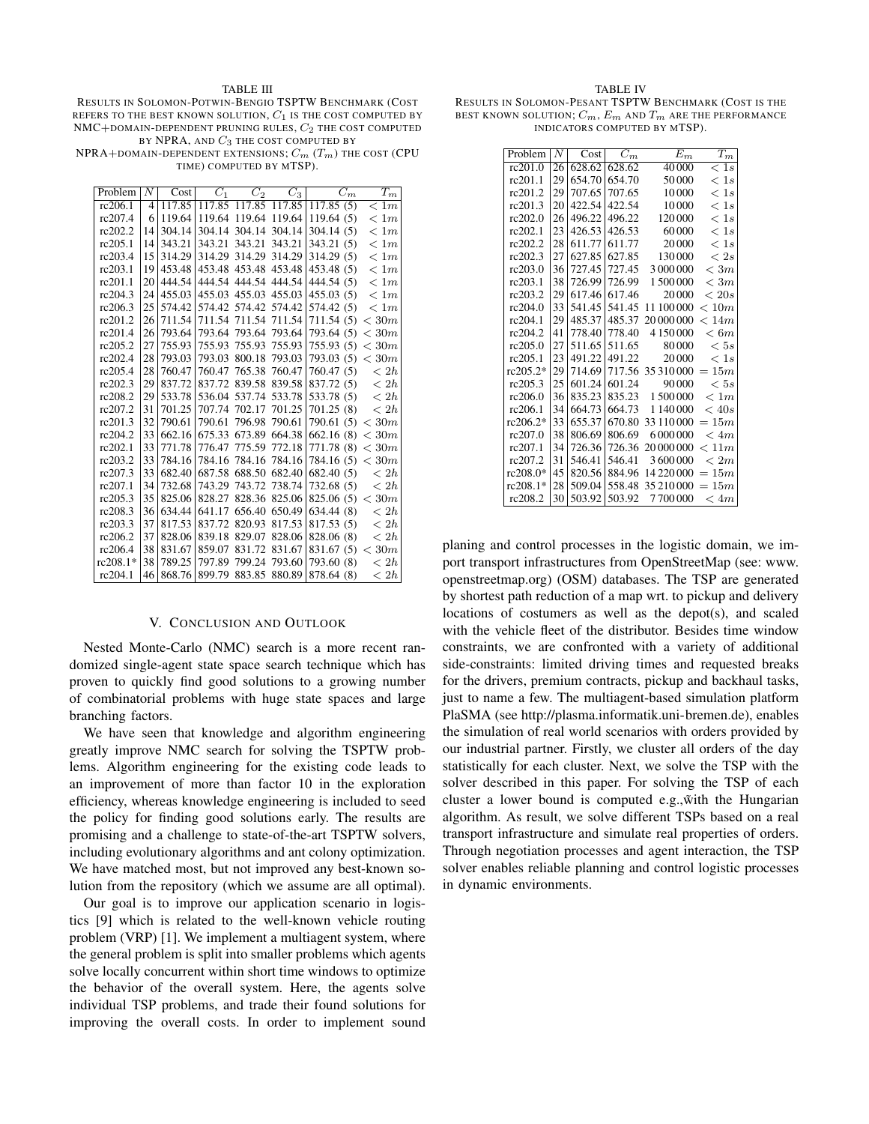#### TABLE III

RESULTS IN SOLOMON-POTWIN-BENGIO TSPTW BENCHMARK (COST REFERS TO THE BEST KNOWN SOLUTION,  $C_1$  is the cost computed by  $NMC+DOMAIN-DEPENDENT$  PRUNING RULES,  $C_2$  the cost computed BY NPRA, AND  $C_3$  THE COST COMPUTED BY

NPRA+DOMAIN-DEPENDENT EXTENSIONS;  $C_m(T_m)$  the cost (CPU TIME) COMPUTED BY MTSP).

| Problem    | N  | Cost   | $C_1$  | $C_2$                | $C_3$  | $C_m$               | $T_m$        |
|------------|----|--------|--------|----------------------|--------|---------------------|--------------|
| rc206.1    | 4  | 117.85 |        | 117.85 117.85 117.85 |        | 117.85(5)           | < 1m         |
| rc207.4    | 6  | 119.64 | 119.64 | 119.64               | 119.64 | 119.64(5)           | < 1m         |
| rc202.2    | 14 | 304.14 | 304.14 | 304.14               | 304.14 | 304.14(5)           | < 1m         |
| rc205.1    | 14 | 343.21 | 343.21 | 343.21               | 343.21 | 343.21 (5)          | < 1m         |
| rc203.4    | 15 | 314.29 |        | 314.29 314.29 314.29 |        | 314.29(5)           | < 1m         |
| rc203.1    | 19 | 453.48 |        | 453.48 453.48 453.48 |        | 453.48(5)           | < 1m         |
| rc201.1    | 20 | 444.54 |        | 444.54 444.54 444.54 |        | 444.54 (5)          | < 1m         |
| rc204.3    | 24 | 455.03 |        | 455.03 455.03 455.03 |        | 455.03(5)           | < 1m         |
| rc206.3    | 25 | 574.42 |        | 574.42 574.42 574.42 |        | 574.42 (5)          | < 1m         |
| rc201.2    | 26 | 711.54 |        | 711.54 711.54 711.54 |        | 711.54(5) < 30m     |              |
| rc201.4    | 26 | 793.64 |        | 793.64 793.64 793.64 |        | 793.64 (5)          | $<$ 30 $m$   |
| rc205.2    | 27 | 755.93 | 755.93 | 755.93               | 755.93 | 755.93 (5)          | $<$ 30 $m$   |
| rc202.4    | 28 | 793.03 |        | 793.03 800.18        | 793.03 | 793.03 $(5) < 30m$  |              |
| rc205.4    | 28 | 760.47 |        | 760.47 765.38        | 760.47 | 760.47 (5)          | < 2h         |
| rc202.3    | 29 | 837.72 |        | 837.72 839.58        | 839.58 | 837.72 (5) $\lt 2h$ |              |
| rc208.2    | 29 | 533.78 |        | 536.04 537.74 533.78 |        | 533.78 (5) $\lt 2h$ |              |
| rc207.2    | 31 | 701.25 |        | 707.74 702.17        | 701.25 | 701.25 (8)          | $\langle 2h$ |
| rc201.3    | 32 | 790.61 | 790.61 | 796.98               | 790.61 | 790.61 $(5) < 30m$  |              |
| rc204.2    | 33 | 662.16 |        | 675.33 673.89        | 664.38 | 662.16(8) < 30m     |              |
| rc202.1    | 33 | 771.78 |        | 776.47 775.59 772.18 |        | 771.78(8) < 30m     |              |
| rc203.2    | 33 | 784.16 |        | 784.16 784.16 784.16 |        | 784.16 $(5) < 30m$  |              |
| rc207.3    | 33 | 682.40 |        | 687.58 688.50        | 682.40 | 682.40 (5)          | < 2h         |
| rc207.1    | 34 | 732.68 |        | 743.29 743.72 738.74 |        | 732.68 (5)          | < 2h         |
| rc205.3    | 35 | 825.06 |        | 828.27 828.36        | 825.06 | 825.06(5) < 30m     |              |
| rc208.3    | 36 | 634.44 |        | 641.17 656.40        | 650.49 | 634.44 (8)          | $\langle 2h$ |
| rc203.3    | 37 | 817.53 |        | 837.72 820.93        | 817.53 | 817.53 (5)          | $\langle 2h$ |
| rc206.2    | 37 | 828.06 | 839.18 | 829.07               | 828.06 | 828.06 (8)          | < 2h         |
| rc206.4    | 38 | 831.67 | 859.07 | 831.72               | 831.67 | 831.67 $(5) < 30m$  |              |
| $rc208.1*$ | 38 | 789.25 | 797.89 | 799.24 793.60        |        | 793.60 (8)          | < 2h         |
| rc204.1    | 46 | 868.76 |        | 899.79 883.85 880.89 |        | 878.64 (8)          | < 2h         |

# V. CONCLUSION AND OUTLOOK

Nested Monte-Carlo (NMC) search is a more recent randomized single-agent state space search technique which has proven to quickly find good solutions to a growing number of combinatorial problems with huge state spaces and large branching factors.

We have seen that knowledge and algorithm engineering greatly improve NMC search for solving the TSPTW problems. Algorithm engineering for the existing code leads to an improvement of more than factor 10 in the exploration efficiency, whereas knowledge engineering is included to seed the policy for finding good solutions early. The results are promising and a challenge to state-of-the-art TSPTW solvers, including evolutionary algorithms and ant colony optimization. We have matched most, but not improved any best-known solution from the repository (which we assume are all optimal).

Our goal is to improve our application scenario in logistics [9] which is related to the well-known vehicle routing problem (VRP) [1]. We implement a multiagent system, where the general problem is split into smaller problems which agents solve locally concurrent within short time windows to optimize the behavior of the overall system. Here, the agents solve individual TSP problems, and trade their found solutions for improving the overall costs. In order to implement sound

RESULTS IN SOLOMON-PESANT TSPTW BENCHMARK (COST IS THE BEST KNOWN SOLUTION;  $C_m$ ,  $E_m$  and  $T_m$  are the performance INDICATORS COMPUTED BY MTSP).

| Problem    | N  | Cost   | $\overline{C}_m$ | $\overline{E}_m$ | $\overline{T_{m}}$ |
|------------|----|--------|------------------|------------------|--------------------|
| rc201.0    | 26 | 628.62 | 628.62           | 40 000           | < 1s               |
| rc201.1    | 29 | 654.70 | 654.70           | 50000            | < 1s               |
| rc201.2    | 29 | 707.65 | 707.65           | 10 000           | < 1s               |
| rc201.3    | 20 | 422.54 | 422.54           | 10 000           | < 1s               |
| rc202.0    | 26 | 496.22 | 496.22           | 120 000          | < 1s               |
| rc202.1    | 23 | 426.53 | 426.53           | 60000            | < 1s               |
| rc202.2    | 28 | 611.77 | 611.77           | 20 000           | < 1s               |
| rc202.3    | 27 | 627.85 | 627.85           | 130 000          | < 2s               |
| rc203.0    | 36 | 727.45 | 727.45           | 3 000 000        | < 3m               |
| rc203.1    | 38 | 726.99 | 726.99           | 1500000          | < 3m               |
| rc203.2    | 29 | 617.46 | 617.46           | 20 000           | < 20s              |
| rc204.0    | 33 | 541.45 | 541.45           | 11 100 000       | < 10m              |
| rc204.1    | 29 | 485.37 | 485.37           | 20 000 000       | < 14m              |
| rc204.2    | 41 | 778.40 | 778.40           |                  | < 6m               |
| rc205.0    | 27 | 511.65 | 511.65           | 80000            | < 5s               |
| rc205.1    | 23 | 491.22 | 491.22           | 20 000           | < 1s               |
| $rc205.2*$ | 29 | 714.69 | 717.56           | 35 310 000       | 15m<br>$=$         |
| rc205.3    | 25 | 601.24 | 601.24           | 90 000           | < 5s               |
| rc206.0    | 36 | 835.23 | 835.23           | 1500000          | < 1m               |
| rc206.1    | 34 | 664.73 | 664.73           | 1 140 000        | < 40s              |
| $rc206.2*$ | 33 | 655.37 | 670.80           | 33 110 000       | $=15m$             |
| rc207.0    | 38 | 806.69 | 806.69           | 6000000          | $~<$ 4m            |
| rc207.1    | 34 | 726.36 | 726.36           | 20 000 000       | < 11m              |
| rc207.2    | 31 | 546.41 | 546.41           | 3600000          | < 2m               |
| rc208.0*   | 45 | 820.56 | 884.96           | 14 220 000       | $=15m$             |
| rc208.1*   | 28 | 509.04 | 558.48           | 35 210 000       | 15m                |
| rc208.2    | 30 | 503.92 | 503.92           | 7700000          | < 4m               |

planing and control processes in the logistic domain, we import transport infrastructures from OpenStreetMap (see: www. openstreetmap.org) (OSM) databases. The TSP are generated by shortest path reduction of a map wrt. to pickup and delivery locations of costumers as well as the depot(s), and scaled with the vehicle fleet of the distributor. Besides time window constraints, we are confronted with a variety of additional side-constraints: limited driving times and requested breaks for the drivers, premium contracts, pickup and backhaul tasks, just to name a few. The multiagent-based simulation platform PlaSMA (see http://plasma.informatik.uni-bremen.de), enables the simulation of real world scenarios with orders provided by our industrial partner. Firstly, we cluster all orders of the day statistically for each cluster. Next, we solve the TSP with the solver described in this paper. For solving the TSP of each cluster a lower bound is computed e.g.,  $\tilde{w}$  ith the Hungarian algorithm. As result, we solve different TSPs based on a real transport infrastructure and simulate real properties of orders. Through negotiation processes and agent interaction, the TSP solver enables reliable planning and control logistic processes in dynamic environments.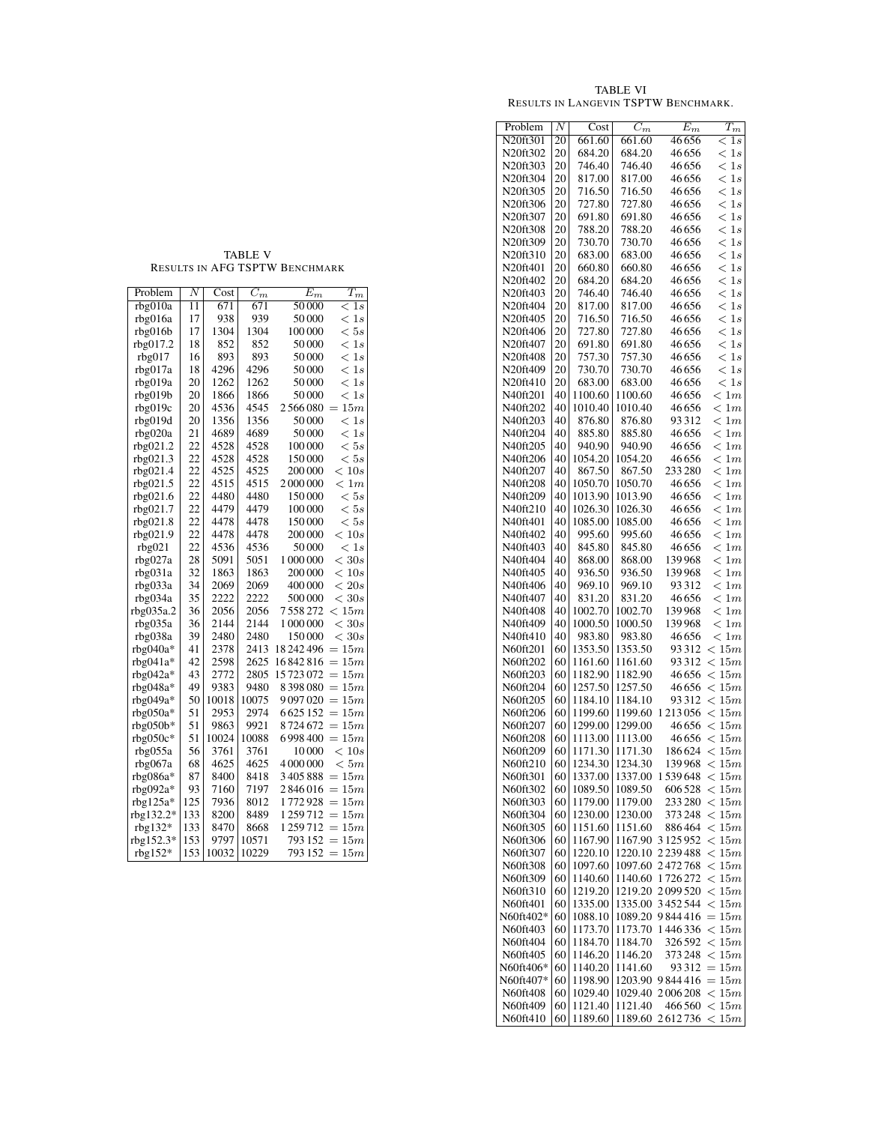| Problem              | Ν        | Cost               | $C_m$              | $E_m$          | $\overline{T_{m}}$           |
|----------------------|----------|--------------------|--------------------|----------------|------------------------------|
| N20ft301             | 20       | 661.60             | 661.60             | 46656          | $\,<$<br>$_{1s}$             |
| N20ft302             | 20       | 684.20             | 684.20             | 46656          | $\,<$<br>1s                  |
| N20ft303             | 20       | 746.40             | 746.40             | 46656          | 1s<br>$\,<$                  |
| N20ft304             | 20       | 817.00             | 817.00             | 46656          | $\,<$<br>1s                  |
| N20ft305             | 20       | 716.50             | 716.50             | 46656          | 1s<br>$\,<$                  |
| N20ft306             | 20       | 727.80             | 727.80             | 46656          | $\,<$<br>1s                  |
| N20ft307             | 20       | 691.80             | 691.80             | 46656          | 1s<br>$\,<$                  |
| N20ft308             | 20       | 788.20             | 788.20             | 46656          | 1s<br>$\,<$                  |
| N20ft309             | 20       | 730.70             | 730.70             | 46656          | 1s<br>$\,<$                  |
| N20ft310             | 20       | 683.00             | 683.00<br>660.80   | 46656          | 1s<br>$\,<$                  |
| N20ft401             | 20       | 660.80             |                    | 46656<br>46656 | 1s<br>$\,<$                  |
| N20ft402             | 20       | 684.20             | 684.20<br>746.40   | 46656          | 1s<br>$\,<$                  |
| N20ft403<br>N20ft404 | 20<br>20 | 746.40<br>817.00   | 817.00             | 46656          | 1s<br>$\,<$<br>1s            |
| N20ft405             | 20       | 716.50             | 716.50             | 46656          | $\,<$<br>1s<br>$\,<$         |
| N20ft406             | 20       | 727.80             | 727.80             | 46656          | 1s<br>$\,<$                  |
| N20ft407             | 20       | 691.80             | 691.80             | 46656          | 1s<br>$\,<$                  |
| N20ft408             | 20       | 757.30             | 757.30             | 46 656         | $\,<$<br>$_{1s}$             |
| N20ft409             | 20       | 730.70             | 730.70             | 46656          | $\,<$<br>$_{1s}$             |
| N20ft410             | 20       | 683.00             | 683.00             | 46656          | 1s<br>$\,<$                  |
| N40ft201             | 40       | 1100.60            | 1100.60            | 46656          | < 1m                         |
| N40ft202             | 40       | 1010.40            | 1010.40            | 46656          | 1 <sub>m</sub><br>$\,<$      |
| N40ft203             | 40       | 876.80             | 876.80             | 93312          | $\,<$<br>1 <sub>m</sub>      |
| N40ft204             | 40       | 885.80             | 885.80             | 46656          | 1 <sub>m</sub><br>$\,<$      |
| N40ft205             | 40       | 940.90             | 940.90             | 46656          | $\,<\,$<br>1 <sub>m</sub>    |
| N40ft206             | 40       | 1054.20            | 1054.20            | 46656          | 1 <sub>m</sub><br>$\,<$      |
| N40ft207             | 40       | 867.50             | 867.50             | 233 280        | $\,<$<br>1 <sub>m</sub>      |
| N40ft208             | 40       | 1050.70            | 1050.70            | 46656          | 1 <sub>m</sub><br>$\,<$      |
| N40ft209             | 40       | 1013.90            | 1013.90            | 46656          | $\,<$<br>1 <sub>m</sub>      |
| N40ft210             | 40       | 1026.30            | 1026.30            | 46656          | 1 <sub>m</sub><br>$\,<$      |
| N40ft401             | 40       | 1085.00            | 1085.00            | 46656          | $\,<\,$<br>1 <sub>m</sub>    |
| N40ft402             | 40       | 995.60             | 995.60             | 46656          | 1 <sub>m</sub><br>$\,<$      |
| N40ft403             | 40       | 845.80             | 845.80             | 46656          | $\,<\,$<br>1 <sub>m</sub>    |
| N40ft404             | 40       | 868.00             | 868.00             | 139968         | 1 <sub>m</sub><br>$\,<$      |
| N40ft405             | 40       | 936.50             | 936.50             | 139968         | $\,<$<br>1 <sub>m</sub>      |
| N40ft406             | 40       | 969.10             | 969.10             | 93312          | 1 <sub>m</sub><br>$\,<$      |
| N40ft407             | 40       | 831.20             | 831.20             | 46656          | $\,<\,$<br>1 <sub>m</sub>    |
| N40ft408             | 40       | 1002.70            | 1002.70            | 139968         | 1 <sub>m</sub><br>$\,<$      |
| N40ft409             | 40       | 1000.50            | 1000.50            | 139968         | $\,<$<br>1 <sub>m</sub>      |
| N40ft410             | 40       | 983.80             | 983.80             | 46656          | $\,<$<br>1 <sub>m</sub>      |
| N60ft201             | 60       | 1353.50            | 1353.50            | 93312          | < 15m                        |
| N60ft202             | 60       | 1161.60            | 1161.60            | 93312          | 15m<br>$\,<$                 |
| N60ft203             | 60       | 1182.90            | 1182.90            | 46656          | $\,<$<br>$15m\,$             |
| N60ft204             | 60       | 1257.50            | 1257.50            | 46656          | $15m$<br>$\,<$               |
| N60ft205             | 60       | 1184.10            | 1184.10<br>1199.60 | 93312          | $\,<\,$<br>15m               |
| N60ft206             | 60       | 1199.60            |                    | 1213056        | $15m$<br>$\,<$               |
| N60ft207<br>N60ft208 | 60       | 1299.00<br>1113.00 | 1299.00<br>1113.00 | 46656<br>46656 | $\,<$<br>15m                 |
| N60ft209             | 60<br>60 | 1171.30            | 1171.30            | 186624         | 15m<br>$\,<$<br>$\,<$<br>15m |
| N60ft210             | 60       | 1234.30            | 1234.30            | 139 968        | 15m<br>$\,<$                 |
| N60ft301             | 60       | 1337.00            | 1337.00            | 1 539 648      | 15m<br>$\,<$                 |
| N60ft302             | 60       | 1089.50            | 1089.50            | 606528         | 15m<br>$\,<$                 |
| N60ft303             | 60       | 1179.00            | 1179.00            | 233 280        | < 15m                        |
| N60ft304             | 60       | 1230.00            | 1230.00            | 373248         | < 15m                        |
| N60ft305             | 60       | 1151.60            | 1151.60            | 886464         | < 15m                        |
| N60ft306             | 60       | 1167.90            | 1167.90            | 3 1 2 5 9 5 2  | 15m<br>$\,<$                 |
| N60ft307             | 60       | 1220.10            | 1220.10            | 2239488        | 15m<br>$\,<\,$               |
| N60ft308             | 60       | 1097.60            | 1097.60            | 2472768        | < 15m                        |
| N60ft309             | 60       | 1140.60            | 1140.60            | 1726272        | < 15m                        |
| N60ft310             | 60       | 1219.20            | 1219.20            | 2099520        | < 15m                        |
| N60ft401             | 60       | 1335.00            | 1335.00            | 3452544        | < 15m                        |
| N60ft402*            | 60       | 1088.10            | 1089.20            | 9844416        | 15m<br>$=$                   |
| N60ft403             | 60       | 1173.70            | 1173.70            | 1446336        | $\,<$<br>15m                 |
| N60ft404             | 60       | 1184.70            | 1184.70            | 326592         | $\,<$<br>15m                 |
| N60ft405             | 60       | 1146.20            | 1146.20            | 373 248        | $\,<$<br>15m                 |
| N60ft406*            | 60       | 1140.20            | 1141.60            | 93312          | $=$<br>15m                   |
| N60ft407*            | 60       | 1198.90            | 1203.90            | 9844416        | 15m<br>$=$                   |
| N60ft408             | 60       | 1029.40            | 1029.40            | 2006208        | $\,<$<br>15m                 |
| N60ft409             | 60       | 1121.40            | 1121.40            | 466 560        | 15m<br>$\,<$                 |
| N60ft410             | 60       | 1189.60            | 1189.60            | 2612736        | 15m<br>$\,<$                 |

TABLE V RESULTS IN AFG TSPTW BENCHMARK

| Problem     | Ν   | Cost  | $\overline{C_m}$ | $\overline{E}_m$ | $\overline{T_{m}}$ |
|-------------|-----|-------|------------------|------------------|--------------------|
| rbg010a     | 11  | 671   | 671              | 50000            | $_{1s}$<br>$\,<\,$ |
| rbg016a     | 17  | 938   | 939              | 50000            | 1s<br>$\,<\,$      |
| rbg016b     | 17  | 1304  | 1304             | 100 000          | 5s<br>$\,<\,$      |
| rbg017.2    | 18  | 852   | 852              | 50000            | 1s<br>$\,<\,$      |
| rbg017      | 16  | 893   | 893              | 50 000           | 1s<br>$\,<$        |
| rbg017a     | 18  | 4296  | 4296             | 50000            | $_{1s}$<br>$\,<$   |
| rbg019a     | 20  | 1262  | 1262             | 50000            | 1s<br>$\,<\,$      |
| rbg019b     | 20  | 1866  | 1866             | 50 000           | 1s<br>$\,<\,$      |
| rbg019c     | 20  | 4536  | 4545             | 2566080          | 15m                |
| rbg019d     | 20  | 1356  | 1356             | 50000            | $\,<\,$<br>$_{1s}$ |
| rbg020a     | 21  | 4689  | 4689             | 50000            | 1s<br>$\,<\,$      |
| rbg021.2    | 22  | 4528  | 4528             | 100 000          | 5s<br>$\rm <$      |
| rbg021.3    | 22  | 4528  | 4528             | 150 000          | < 5s               |
| rbg021.4    | 22  | 4525  | 4525             | 200 000          | < 10s              |
| rbg021.5    | 22  | 4515  | 4515             | 2000000          | < 1m               |
| rbg021.6    | 22  | 4480  | 4480             | 150000           | < 5s               |
| rbg021.7    | 22  | 4479  | 4479             | 100000           | < 5s               |
| rbg021.8    | 22  | 4478  | 4478             | 150000           | < 5s               |
| rbg021.9    | 22  | 4478  | 4478             | 200 000          | < 10s              |
| rbg021      | 22  | 4536  | 4536             | 50 000           | < 1s               |
| rbg027a     | 28  | 5091  | 5051             | 1 000 000        | < 30s              |
| rbg031a     | 32  | 1863  | 1863             | 200 000          | 10s<br>$\,<\,$     |
| rbg033a     | 34  | 2069  | 2069             | 400 000          | $<$ 20s            |
| rbg034a     | 35  | 2222  | 2222             | 500000           | < 30s              |
| rbg035a.2   | 36  | 2056  | 2056             | 7 558 272        | 15m<br>$\,<$       |
| rbg035a     | 36  | 2144  | 2144             | 1 000 000        | $<$ 30s            |
| rbg038a     | 39  | 2480  | 2480             | 150000           | < 30s              |
| rbg040a $*$ | 41  | 2378  | 2413             | 18242496         | $=$<br>15m         |
| $rbg041a*$  | 42  | 2598  | 2625             | 16842816         | 15m<br>$=$         |
| rbg042a $*$ | 43  | 2772  | 2805             | 15 723 072       | 15m<br>$=$         |
| rbg048a*    | 49  | 9383  | 9480             | 8398080          | 15m<br>$=$         |
| rbg049a*    | 50  | 10018 | 10075            | 9097020          | $=$<br>15m         |
| rbg050a*    | 51  | 2953  | 2974             | 6625152          | 15m                |
| $rbg050b*$  | 51  | 9863  | 9921             | 8724672          | 15m<br>$=$         |
| $rbg050c*$  | 51  | 10024 | 10088            | 6998400          | 15m<br>$=$         |
| rbg055a     | 56  | 3761  | 3761             | 10000            | < 10s              |
| rbg067a     | 68  | 4625  | 4625             | 4 000 000        | < 5m               |
| rbg086a*    | 87  | 8400  | 8418             | 3405888          | 15m<br>$=$         |
| rbg092a $*$ | 93  | 7160  | 7197             | 2 846 016        | $=$<br>15m         |
| $rbg125a*$  | 125 | 7936  | 8012             | 1772928          | $=$<br>15m         |
| $rbg132.2*$ | 133 | 8200  | 8489             | 1 259 712        | 15m<br>$=$         |
| rbg $132*$  | 133 | 8470  | 8668             | 1 259 712        | 15m<br>$=$         |
| rbg152.3*   | 153 | 9797  | 10571            | 793 152          | $=$<br>15m         |
| rbg $152*$  | 153 | 10032 | 10229            | 793 152          | 15m<br>$=$         |

**TABLE VI** RESULTS IN LANGEVIN TSPTW BENCHMARK.